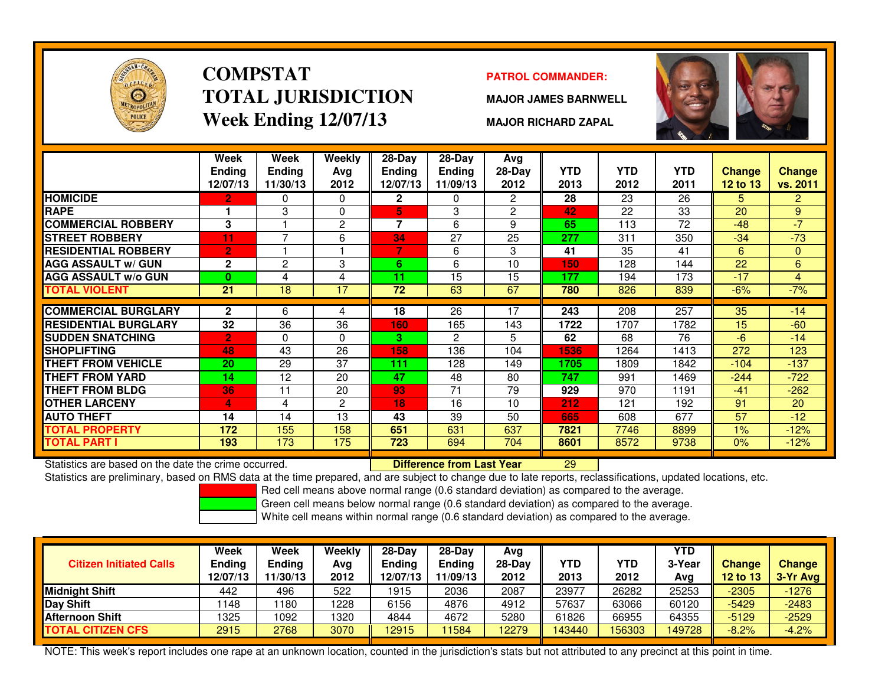

### **COMPSTATTOTAL JURISDICTIONWeek Ending 12/07/13**

#### **PATROL COMMANDER:**

**MAJOR JAMES BARNWELL**

**MAJOR RICHARD ZAPAL**



|                             | Week<br><b>Ending</b> | Week<br><b>Ending</b> | Weekly<br>Ava  | $28-Day$<br><b>Ending</b> | 28-Day<br><b>Ending</b> | Avg<br>$28-Day$ | <b>YTD</b> | <b>YTD</b> | <b>YTD</b> | <b>Change</b> | <b>Change</b>  |
|-----------------------------|-----------------------|-----------------------|----------------|---------------------------|-------------------------|-----------------|------------|------------|------------|---------------|----------------|
|                             | 12/07/13              | 11/30/13              | 2012           | 12/07/13                  | 11/09/13                | 2012            | 2013       | 2012       | 2011       | 12 to 13      | vs. 2011       |
| <b>HOMICIDE</b>             | $\mathbf{2}$          | 0                     | $\Omega$       | $\mathbf{2}$              | $\Omega$                | $\overline{2}$  | 28         | 23         | 26         | 5.            | $\overline{2}$ |
| <b>RAPE</b>                 |                       | 3                     | $\Omega$       | 5                         | 3                       | $\overline{2}$  | 42         | 22         | 33         | 20            | 9 <sup>°</sup> |
| <b>COMMERCIAL ROBBERY</b>   | 3                     |                       | $\overline{2}$ | $\overline{7}$            | 6                       | 9               | 65         | 113        | 72         | $-48$         | $-7$           |
| <b>STREET ROBBERY</b>       | 11                    | 7                     | 6              | 34                        | 27                      | 25              | 277        | 311        | 350        | $-34$         | $-73$          |
| <b>RESIDENTIAL ROBBERY</b>  | $\overline{2}$        |                       |                |                           | 6                       | 3               | 41         | 35         | 41         | 6             | $\mathbf{0}$   |
| <b>AGG ASSAULT w/ GUN</b>   | $\mathbf{2}$          | 2                     | 3              | 6                         | 6                       | 10              | 150        | 128        | 144        | 22            | 6              |
| <b>AGG ASSAULT w/o GUN</b>  | $\mathbf{0}$          | 4                     | 4              | 11                        | 15                      | 15              | 177        | 194        | 173        | $-17$         | 4              |
| <b>TOTAL VIOLENT</b>        | 21                    | 18                    | 17             | 72                        | 63                      | 67              | 780        | 826        | 839        | $-6%$         | $-7%$          |
|                             |                       |                       |                |                           |                         |                 |            |            |            |               |                |
| <b>COMMERCIAL BURGLARY</b>  | $\mathbf{2}$          | 6                     | 4              | 18                        | 26                      | 17              | 243        | 208        | 257        | 35            | $-14$          |
| <b>RESIDENTIAL BURGLARY</b> | 32                    | 36                    | 36             | 160                       | 165                     | 143             | 1722       | 1707       | 1782       | 15            | $-60$          |
| <b>SUDDEN SNATCHING</b>     | $\overline{2}$        | 0                     | 0              | 3.                        | 2                       | 5.              | 62         | 68         | 76         | $-6$          | $-14$          |
| <b>SHOPLIFTING</b>          | 48                    | 43                    | 26             | 158                       | 136                     | 104             | 1536       | 1264       | 1413       | 272           | 123            |
| <b>THEFT FROM VEHICLE</b>   | 20                    | 29                    | 37             | 111                       | 128                     | 149             | 1705       | 1809       | 1842       | $-104$        | $-137$         |
| <b>THEFT FROM YARD</b>      | 14                    | 12                    | 20             | 47                        | 48                      | 80              | 747        | 991        | 1469       | $-244$        | $-722$         |
| <b>THEFT FROM BLDG</b>      | 36                    | 11                    | 20             | 93                        | 71                      | 79              | 929        | 970        | 1191       | $-41$         | $-262$         |
| <b>OTHER LARCENY</b>        | 4                     | 4                     | $\overline{2}$ | 18                        | 16                      | 10              | 212        | 121        | 192        | 91            | 20             |
| <b>AUTO THEFT</b>           | 14                    | 14                    | 13             | 43                        | 39                      | 50              | 665        | 608        | 677        | 57            | $-12$          |
| <b>TOTAL PROPERTY</b>       | 172                   | 155                   | 158            | 651                       | 631                     | 637             | 7821       | 7746       | 8899       | $1\%$         | $-12%$         |
| <b>TOTAL PART I</b>         | 193                   | 173                   | 175            | 723                       | 694                     | 704             | 8601       | 8572       | 9738       | 0%            | $-12%$         |

Statistics are based on the date the crime occurred. **Difference from Last Year** 

Statistics are based on the date the crime occurred. **[19] Letter Lubber 10 Letter Conduct Statistics are based**<br>Statistics are preliminary, based on RMS data at the time prepared, and are subject to change due to late rep

Red cell means above normal range (0.6 standard deviation) as compared to the average.

Green cell means below normal range (0.6 standard deviation) as compared to the average.

White cell means within normal range (0.6 standard deviation) as compared to the average.

| <b>Citizen Initiated Calls</b> | Week<br>Ending<br>12/07/13 | Week<br><b>Ending</b><br>11/30/13 | Weekly<br>Avg<br>2012 | 28-Dav<br>Ending<br>12/07/13 | 28-Dav<br><b>Ending</b><br>11/09/13 | Avg<br>28-Dav<br>2012 | <b>YTD</b><br>2013 | YTD<br>2012 | <b>YTD</b><br>3-Year<br>Avg | <b>Change</b><br><b>12 to 13</b> | <b>Change</b><br>$3-Yr$ Avg |
|--------------------------------|----------------------------|-----------------------------------|-----------------------|------------------------------|-------------------------------------|-----------------------|--------------------|-------------|-----------------------------|----------------------------------|-----------------------------|
| Midnight Shift                 | 442                        | 496                               | 522                   | 1915                         | 2036                                | 2087                  | 23977              | 26282       | 25253                       | $-2305$                          | $-1276$                     |
| Day Shift                      | 148                        | 180                               | 228                   | 6156                         | 4876                                | 4912                  | 57637              | 63066       | 60120                       | $-5429$                          | $-2483$                     |
| <b>Afternoon Shift</b>         | 1325                       | 1092                              | 1320                  | 4844                         | 4672                                | 5280                  | 61826              | 66955       | 64355                       | $-5129$                          | $-2529$                     |
| <b>TOTAL CITIZEN CFS</b>       | 2915                       | 2768                              | 3070                  | 12915                        | 11584                               | 2279                  | 43440              | 156303      | 49728                       | $-8.2%$                          | $-4.2%$                     |

NOTE: This week's report includes one rape at an unknown location, counted in the jurisdiction's stats but not attributed to any precinct at this point in time.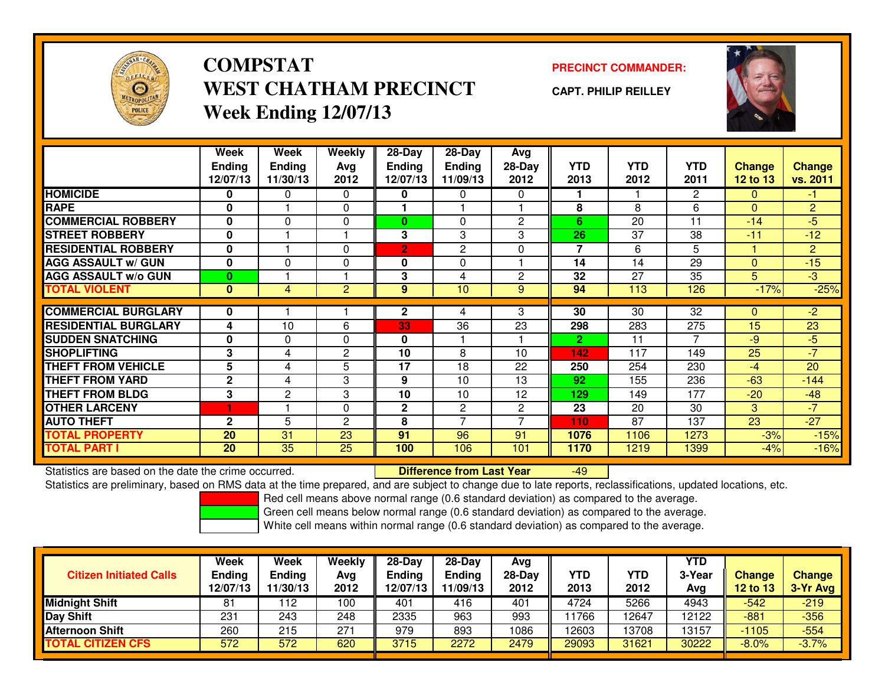

# **COMPSTATWEST CHATHAM PRECINCTWeek Ending 12/07/13**

### **PRECINCT COMMANDER:**

**CAPT. PHILIP REILLEY**



|                             | Week<br><b>Ending</b><br>12/07/13 | Week<br><b>Ending</b><br>11/30/13 | Weekly<br>Ava<br>2012 | 28-Day<br><b>Ending</b><br>12/07/13 | 28-Day<br><b>Ending</b><br>11/09/13 | Avg<br>$28-Day$<br>2012 | <b>YTD</b><br>2013 | <b>YTD</b><br>2012 | <b>YTD</b><br>2011 | <b>Change</b><br>12 to 13 | <b>Change</b><br>vs. 2011 |
|-----------------------------|-----------------------------------|-----------------------------------|-----------------------|-------------------------------------|-------------------------------------|-------------------------|--------------------|--------------------|--------------------|---------------------------|---------------------------|
| <b>HOMICIDE</b>             | 0                                 | 0                                 | $\Omega$              | 0                                   | 0                                   | 0                       |                    |                    | $\overline{2}$     | 0                         | $-1$                      |
| <b>RAPE</b>                 | 0                                 |                                   | $\Omega$              |                                     |                                     |                         | 8                  | 8                  | 6                  | $\Omega$                  | $\overline{2}$            |
| <b>COMMERCIAL ROBBERY</b>   | $\bf{0}$                          | $\Omega$                          | 0                     | $\bf{0}$                            | 0                                   | $\overline{2}$          | 6                  | 20                 | 11                 | $-14$                     | $-5$                      |
| <b>STREET ROBBERY</b>       | 0                                 |                                   |                       | 3                                   | 3                                   | 3                       | 26                 | 37                 | 38                 | $-11$                     | $-12$                     |
| <b>RESIDENTIAL ROBBERY</b>  | $\bf{0}$                          |                                   | $\Omega$              | $\overline{2}$                      | $\overline{c}$                      | $\Omega$                | $\overline{7}$     | 6                  | 5                  |                           | $\overline{2}$            |
| <b>AGG ASSAULT w/ GUN</b>   | $\bf{0}$                          | $\Omega$                          | $\Omega$              | 0                                   | 0                                   |                         | 14                 | 14                 | 29                 | $\Omega$                  | $-15$                     |
| <b>AGG ASSAULT w/o GUN</b>  | $\bf{0}$                          |                                   |                       | 3                                   | 4                                   | $\overline{2}$          | 32                 | 27                 | 35                 | 5                         | $-3$                      |
| <b>TOTAL VIOLENT</b>        | $\bf{0}$                          | 4                                 | $\overline{2}$        | 9                                   | 10                                  | 9                       | 94                 | 113                | 126                | $-17%$                    | $-25%$                    |
|                             |                                   |                                   |                       |                                     |                                     |                         |                    |                    |                    |                           |                           |
| <b>COMMERCIAL BURGLARY</b>  | 0                                 |                                   |                       | $\mathbf{2}$                        | 4                                   | 3                       | 30                 | 30                 | 32                 | 0                         | $-2$                      |
| <b>RESIDENTIAL BURGLARY</b> | 4                                 | 10                                | 6                     | 33                                  | 36                                  | 23                      | 298                | 283                | 275                | 15                        | 23                        |
| <b>SUDDEN SNATCHING</b>     | 0                                 | 0                                 | $\Omega$              | 0                                   |                                     |                         | $\mathbf{2}$       | 11                 |                    | -9                        | $-5$                      |
| <b>SHOPLIFTING</b>          | 3                                 | 4                                 | 2                     | 10                                  | 8                                   | 10                      | 142                | 117                | 149                | 25                        | $-7$                      |
| <b>THEFT FROM VEHICLE</b>   | 5                                 | 4                                 | 5                     | 17                                  | 18                                  | 22                      | 250                | 254                | 230                | $-4$                      | 20                        |
| <b>THEFT FROM YARD</b>      | $\mathbf{2}$                      | 4                                 | 3                     | 9                                   | 10                                  | 13                      | 92                 | 155                | 236                | $-63$                     | $-144$                    |
| <b>THEFT FROM BLDG</b>      | 3                                 | 2                                 | 3                     | 10                                  | 10                                  | 12                      | 129                | 149                | 177                | $-20$                     | $-48$                     |
| <b>OTHER LARCENY</b>        | 1                                 |                                   | $\Omega$              | $\mathbf{2}$                        | 2                                   | $\mathbf{2}^{\prime}$   | 23                 | 20                 | 30                 | 3                         | $-7$                      |
| <b>AUTO THEFT</b>           | $\mathbf{2}$                      | 5                                 | 2                     | 8                                   | $\overline{ }$                      | 7                       | 110                | 87                 | 137                | 23                        | $-27$                     |
| <b>TOTAL PROPERTY</b>       | 20                                | 31                                | 23                    | 91                                  | 96                                  | 91                      | 1076               | 1106               | 1273               | $-3%$                     | $-15%$                    |
| <b>TOTAL PART I</b>         | 20                                | 35                                | 25                    | 100                                 | 106                                 | 101                     | 1170               | 1219               | 1399               | -4%                       | $-16%$                    |

Statistics are based on the date the crime occurred. **Difference from Last Year** 

Statistics are based on the date the crime occurred.<br>Statistics are preliminary, based on RMS data at the time prepared, and are subject to change due to late reports, reclassifications, updated locations, etc.

Red cell means above normal range (0.6 standard deviation) as compared to the average.

Green cell means below normal range (0.6 standard deviation) as compared to the average.

| <b>Citizen Initiated Calls</b> | Week<br><b>Ending</b><br>12/07/13 | Week<br><b>Ending</b><br>11/30/13 | Weekly<br>Avg<br>2012 | $28-Day$<br><b>Ending</b><br>12/07/13 | $28-Day$<br><b>Ending</b><br>11/09/13 | Avg<br>28-Day<br>2012 | YTD<br>2013 | YTD<br>2012 | <b>YTD</b><br>3-Year<br>Avg | <b>Change</b><br><b>12 to 13</b> | <b>Change</b><br>3-Yr Avg |
|--------------------------------|-----------------------------------|-----------------------------------|-----------------------|---------------------------------------|---------------------------------------|-----------------------|-------------|-------------|-----------------------------|----------------------------------|---------------------------|
| <b>Midnight Shift</b>          | 81                                | 12                                | 100                   | 401                                   | 416                                   | 401                   | 4724        | 5266        | 4943                        | -542                             | $-219$                    |
| Day Shift                      | 231                               | 243                               | 248                   | 2335                                  | 963                                   | 993                   | 1766        | 12647       | 12122                       | $-881$                           | $-356$                    |
| <b>Afternoon Shift</b>         | 260                               | 215                               | 271                   | 979                                   | 893                                   | 1086                  | 12603       | 13708       | 13157                       | $-1105$                          | $-554$                    |
| <b>TOTAL CITIZEN CFS</b>       | 572                               | 572                               | 620                   | 3715                                  | 2272                                  | 2479                  | 29093       | 31621       | 30222                       | $-8.0%$                          | $-3.7%$                   |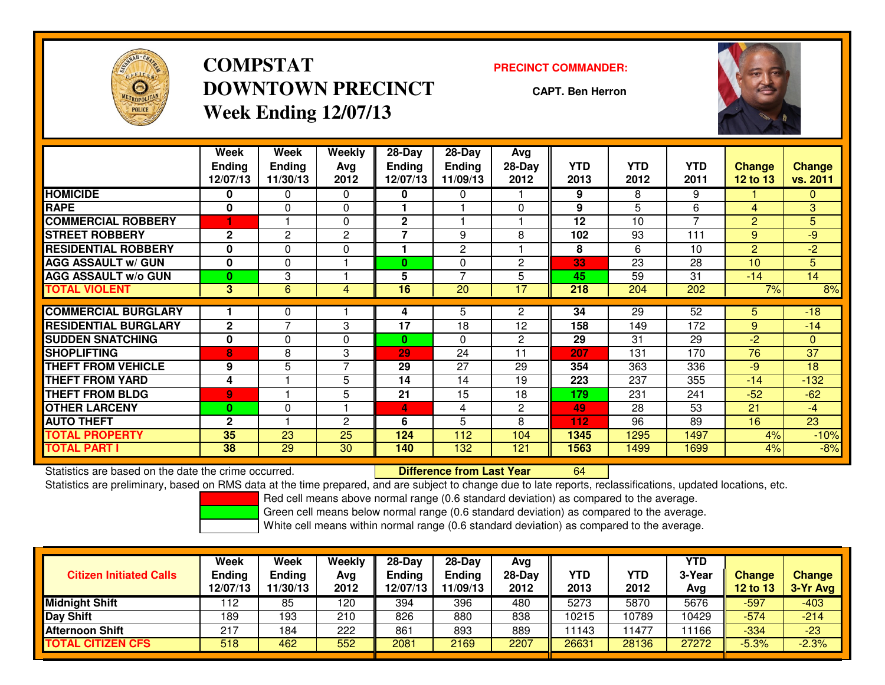

# **COMPSTATDOWNTOWN PRECINCTWeek Ending 12/07/13**

#### **PRECINCT COMMANDER:**

**CAPT. Ben Herron**



|                             | Week<br><b>Ending</b><br>12/07/13 | Week<br><b>Ending</b><br>11/30/13 | Weekly<br>Ava<br>2012 | $28-Day$<br><b>Endina</b><br>12/07/13 | $28$ -Day<br><b>Ending</b><br>11/09/13 | Avg<br>$28-Day$<br>2012 | <b>YTD</b><br>2013 | <b>YTD</b><br>2012 | <b>YTD</b><br>2011 | <b>Change</b><br><b>12 to 13</b> | <b>Change</b><br>vs. 2011 |
|-----------------------------|-----------------------------------|-----------------------------------|-----------------------|---------------------------------------|----------------------------------------|-------------------------|--------------------|--------------------|--------------------|----------------------------------|---------------------------|
| <b>HOMICIDE</b>             | 0                                 | 0                                 | $\Omega$              | 0                                     | 0                                      |                         | 9                  | 8                  | 9                  |                                  | 0                         |
| <b>RAPE</b>                 | $\bf{0}$                          | $\Omega$                          | 0                     |                                       |                                        | $\Omega$                | 9                  | 5                  | 6                  | 4                                | 3                         |
| <b>COMMERCIAL ROBBERY</b>   |                                   |                                   | 0                     | $\mathbf{2}$                          |                                        |                         | 12                 | 10                 | $\overline{7}$     | 2                                | 5                         |
| <b>STREET ROBBERY</b>       | $\mathbf{2}$                      | 2                                 | 2                     | 7                                     | 9                                      | 8                       | 102                | 93                 | 111                | 9                                | $-9$                      |
| <b>RESIDENTIAL ROBBERY</b>  | $\bf{0}$                          | 0                                 | 0                     |                                       | $\mathbf{2}$                           |                         | 8                  | 6                  | 10                 | 2                                | $-2$                      |
| <b>AGG ASSAULT w/ GUN</b>   | 0                                 | 0                                 |                       | 0                                     | $\Omega$                               | 2                       | 33                 | 23                 | 28                 | 10                               | 5                         |
| <b>AGG ASSAULT w/o GUN</b>  | $\mathbf{0}$                      | 3                                 |                       | 5                                     | $\overline{ }$                         | 5                       | 45                 | 59                 | 31                 | $-14$                            | 14                        |
| <b>TOTAL VIOLENT</b>        | $\overline{3}$                    | 6                                 | 4                     | 16                                    | 20                                     | 17                      | 218                | 204                | 202                | 7%                               | 8%                        |
| <b>COMMERCIAL BURGLARY</b>  |                                   | 0                                 |                       | 4                                     | 5                                      | $\overline{2}$          | 34                 | 29                 | 52                 | 5                                | $-18$                     |
| <b>RESIDENTIAL BURGLARY</b> | $\mathbf{2}$                      | $\overline{ }$                    | 3                     | 17                                    | 18                                     | 12                      | 158                | 149                | 172                | 9                                | $-14$                     |
|                             |                                   |                                   |                       |                                       |                                        |                         |                    |                    |                    |                                  |                           |
| <b>SUDDEN SNATCHING</b>     | 0                                 | 0                                 | 0                     | 0                                     | $\Omega$                               | 2                       | 29                 | 31                 | 29                 | $-2$                             | $\mathbf{0}$              |
| <b>SHOPLIFTING</b>          | 8                                 | 8                                 | 3                     | 29                                    | 24                                     | 11                      | 207                | 131                | 170                | 76                               | 37                        |
| <b>THEFT FROM VEHICLE</b>   | 9                                 | 5                                 | $\overline{7}$        | 29                                    | 27                                     | 29                      | 354                | 363                | 336                | $-9$                             | 18                        |
| <b>THEFT FROM YARD</b>      | 4                                 |                                   | 5                     | 14                                    | 14                                     | 19                      | 223                | 237                | 355                | $-14$                            | $-132$                    |
| <b>THEFT FROM BLDG</b>      | $\overline{9}$                    |                                   | 5                     | 21                                    | 15                                     | 18                      | 179                | 231                | 241                | $-52$                            | $-62$                     |
| <b>OTHER LARCENY</b>        | $\bf{0}$                          | 0                                 |                       | 4                                     | 4                                      | $\overline{2}$          | 49                 | 28                 | 53                 | 21                               | $-4$                      |
| <b>AUTO THEFT</b>           | $\mathbf{2}$                      |                                   | $\mathbf{c}$          | 6                                     | 5                                      | 8                       | 112                | 96                 | 89                 | 16                               | 23                        |
| <b>TOTAL PROPERTY</b>       | 35                                | 23                                | 25                    | 124                                   | 112                                    | 104                     | 1345               | 1295               | 1497               | 4%                               | $-10%$                    |
| <b>TOTAL PART I</b>         | 38                                | 29                                | 30                    | 140                                   | 132                                    | 121                     | 1563               | 1499               | 1699               | 4%                               | $-8%$                     |

Statistics are based on the date the crime occurred. **Difference from Last Year** 

Statistics are based on the date the crime occurred.<br>Statistics are preliminary, based on RMS data at the time prepared, and are subject to change due to late reports, reclassifications, updated locations, etc.

Red cell means above normal range (0.6 standard deviation) as compared to the average.

Green cell means below normal range (0.6 standard deviation) as compared to the average.

| <b>Citizen Initiated Calls</b> | Week<br><b>Ending</b><br>12/07/13 | Week<br><b>Ending</b><br>11/30/13 | Weekly<br>Avg<br>2012 | $28-Day$<br><b>Ending</b><br>12/07/13 | $28-Day$<br><b>Ending</b><br>11/09/13 | Avg<br>28-Day<br>2012 | YTD<br>2013 | YTD<br>2012 | <b>YTD</b><br>3-Year<br>Avg | <b>Change</b><br><b>12 to 13</b> | <b>Change</b><br>3-Yr Avg |
|--------------------------------|-----------------------------------|-----------------------------------|-----------------------|---------------------------------------|---------------------------------------|-----------------------|-------------|-------------|-----------------------------|----------------------------------|---------------------------|
| <b>Midnight Shift</b>          | 112                               | 85                                | 120                   | 394                                   | 396                                   | 480                   | 5273        | 5870        | 5676                        | $-597$                           | $-403$                    |
| Day Shift                      | 189                               | 193                               | 210                   | 826                                   | 880                                   | 838                   | 10215       | 10789       | 10429                       | $-574$                           | $-214$                    |
| <b>Afternoon Shift</b>         | 217                               | 184                               | 222                   | 861                                   | 893                                   | 889                   | 11143       | 1477        | 1166                        | $-334$                           | $-23$                     |
| <b>TOTAL CITIZEN CFS</b>       | 518                               | 462                               | 552                   | 2081                                  | 2169                                  | 2207                  | 26631       | 28136       | 27272                       | $-5.3%$                          | $-2.3%$                   |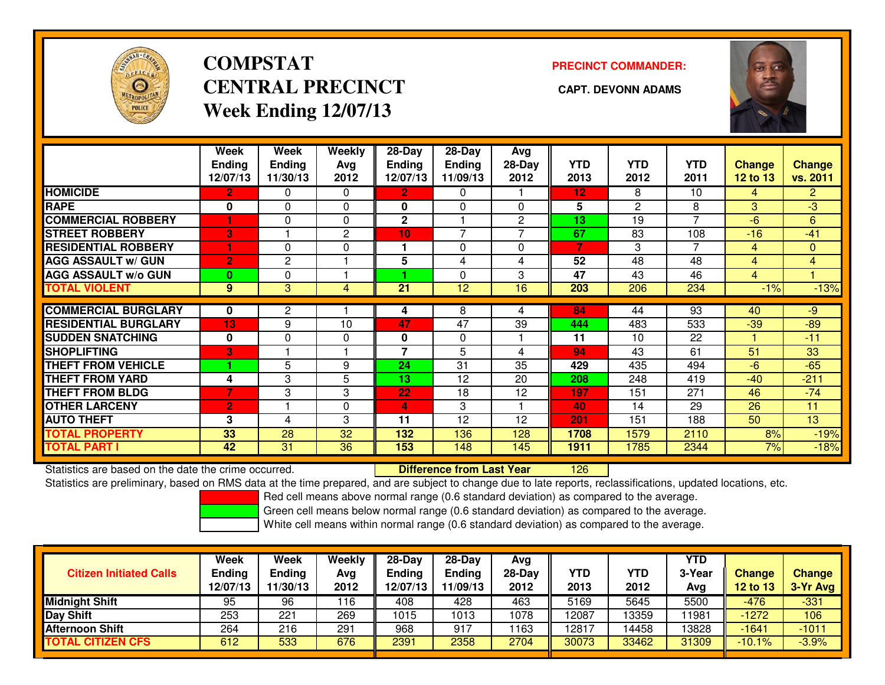

# **COMPSTATCENTRAL PRECINCT** CAPT. DEVONN ADAMS **Week Ending 12/07/13**

### **PRECINCT COMMANDER:**



|                             | Week<br><b>Ending</b><br>12/07/13 | Week<br><b>Ending</b><br>11/30/13 | <b>Weekly</b><br>Ava<br>2012 | $28-Day$<br>Ending<br>12/07/13 | $28-Day$<br><b>Ending</b><br>11/09/13 | Avg<br>28-Day<br>2012 | <b>YTD</b><br>2013 | <b>YTD</b><br>2012 | YTD<br>2011    | Change<br>$12$ to $13$ | <b>Change</b><br>vs. 2011 |
|-----------------------------|-----------------------------------|-----------------------------------|------------------------------|--------------------------------|---------------------------------------|-----------------------|--------------------|--------------------|----------------|------------------------|---------------------------|
| <b>HOMICIDE</b>             | $\overline{2}$                    | 0                                 | $\Omega$                     | $\overline{2}$                 | 0                                     |                       | 12                 | 8                  | 10             | 4                      | $\overline{2}$            |
| <b>RAPE</b>                 | 0                                 | $\Omega$                          | $\Omega$                     | $\mathbf{0}$                   | $\mathbf{0}$                          | $\Omega$              | 5                  | $\mathbf{2}$       | 8              | 3                      | $\overline{3}$            |
| <b>COMMERCIAL ROBBERY</b>   | 1                                 | 0                                 | $\Omega$                     | $\mathbf{2}$                   |                                       | $\overline{c}$        | 13                 | 19                 | 7              | -6                     | 6                         |
| <b>STREET ROBBERY</b>       | 3                                 |                                   | 2                            | 10                             | $\overline{7}$                        |                       | 67                 | 83                 | 108            | $-16$                  | $-41$                     |
| <b>RESIDENTIAL ROBBERY</b>  | 1                                 | $\Omega$                          | 0                            |                                | $\Omega$                              | $\Omega$              | 7                  | 3                  | $\overline{7}$ | 4                      | 0                         |
| <b>AGG ASSAULT w/ GUN</b>   | $\overline{2}$                    | 2                                 |                              | 5                              | 4                                     | 4                     | 52                 | $\overline{48}$    | 48             | 4                      | $\overline{4}$            |
| <b>AGG ASSAULT w/o GUN</b>  | $\bf{0}$                          | 0                                 |                              |                                | $\Omega$                              | 3                     | 47                 | 43                 | 46             | $\overline{4}$         |                           |
| <b>TOTAL VIOLENT</b>        | 9                                 | 3                                 | 4                            | 21                             | 12                                    | 16                    | 203                | 206                | 234            | $-1%$                  | $-13%$                    |
| <b>COMMERCIAL BURGLARY</b>  | 0                                 | 2                                 |                              |                                | 8                                     | 4                     | 84                 | 44                 | 93             | 40                     | $-9$                      |
|                             |                                   |                                   |                              | 4                              |                                       |                       |                    |                    |                |                        |                           |
| <b>RESIDENTIAL BURGLARY</b> | 13                                | 9                                 | 10                           | 47                             | 47                                    | 39                    | 444                | 483                | 533            | $-39$                  | $-89$                     |
| <b>SUDDEN SNATCHING</b>     | $\bf{0}$                          | $\Omega$                          | 0                            | $\mathbf{0}$                   | $\Omega$                              |                       | 11                 | 10                 | 22             |                        | $-11$                     |
| <b>SHOPLIFTING</b>          | В'                                |                                   |                              | 7                              | 5                                     | 4                     | 94                 | 43                 | 61             | 51                     | 33                        |
| <b>THEFT FROM VEHICLE</b>   |                                   | 5                                 | 9                            | 24                             | 31                                    | 35                    | 429                | 435                | 494            | $-6$                   | $-65$                     |
| <b>THEFT FROM YARD</b>      | 4                                 | 3                                 | 5                            | 13                             | 12                                    | 20                    | 208                | 248                | 419            | $-40$                  | $-211$                    |
| <b>THEFT FROM BLDG</b>      | $\overline{7}$                    | 3                                 | 3                            | 22                             | 18                                    | 12                    | 197                | 151                | 271            | 46                     | $-74$                     |
| <b>OTHER LARCENY</b>        | $\overline{2}$                    |                                   | 0                            | 4                              | 3                                     |                       | 40                 | 14                 | 29             | 26                     | 11                        |
| <b>AUTO THEFT</b>           | 3                                 | 4                                 | 3                            | 11                             | 12                                    | 12                    | 201                | 151                | 188            | 50                     | 13                        |
| <b>TOTAL PROPERTY</b>       | 33                                | 28                                | 32                           | 132                            | 136                                   | 128                   | 1708               | 1579               | 2110           | 8%                     | $-19%$                    |
| <b>TOTAL PART I</b>         | 42                                | 31                                | 36                           | 153                            | 148                                   | 145                   | 1911               | 1785               | 2344           | 7%                     | $-18%$                    |

Statistics are based on the date the crime occurred. **Difference from Last Year** 

<sup>126</sup>

Statistics are preliminary, based on RMS data at the time prepared, and are subject to change due to late reports, reclassifications, updated locations, etc.

Red cell means above normal range (0.6 standard deviation) as compared to the average.

Green cell means below normal range (0.6 standard deviation) as compared to the average.

| <b>Citizen Initiated Calls</b> | Week<br>Ending<br>12/07/13 | Week<br>Ending<br>11/30/13 | Weekly<br>Avg<br>2012 | $28-Day$<br><b>Ending</b><br>12/07/13 | $28 - Day$<br><b>Ending</b><br>11/09/13 | Avg<br>28-Day<br>2012 | YTD<br>2013 | YTD<br>2012 | <b>YTD</b><br>3-Year<br>Avg | <b>Change</b><br><b>12 to 13</b> | <b>Change</b><br>3-Yr Avg |
|--------------------------------|----------------------------|----------------------------|-----------------------|---------------------------------------|-----------------------------------------|-----------------------|-------------|-------------|-----------------------------|----------------------------------|---------------------------|
| <b>Midnight Shift</b>          | 95                         | 96                         | 16                    | 408                                   | 428                                     | 463                   | 5169        | 5645        | 5500                        | $-476$                           | $-331$                    |
| Day Shift                      | 253                        | 221                        | 269                   | 1015                                  | 1013                                    | 1078                  | 12087       | 13359       | ∣1981                       | $-1272$                          | 106                       |
| <b>Afternoon Shift</b>         | 264                        | 216                        | 291                   | 968                                   | 917                                     | 1163                  | 12817       | 14458       | 13828                       | $-1641$                          | $-1011$                   |
| <b>TOTAL CITIZEN CFS</b>       | 612                        | 533                        | 676                   | 2391                                  | 2358                                    | 2704                  | 30073       | 33462       | 31309                       | $-10.1%$                         | $-3.9%$                   |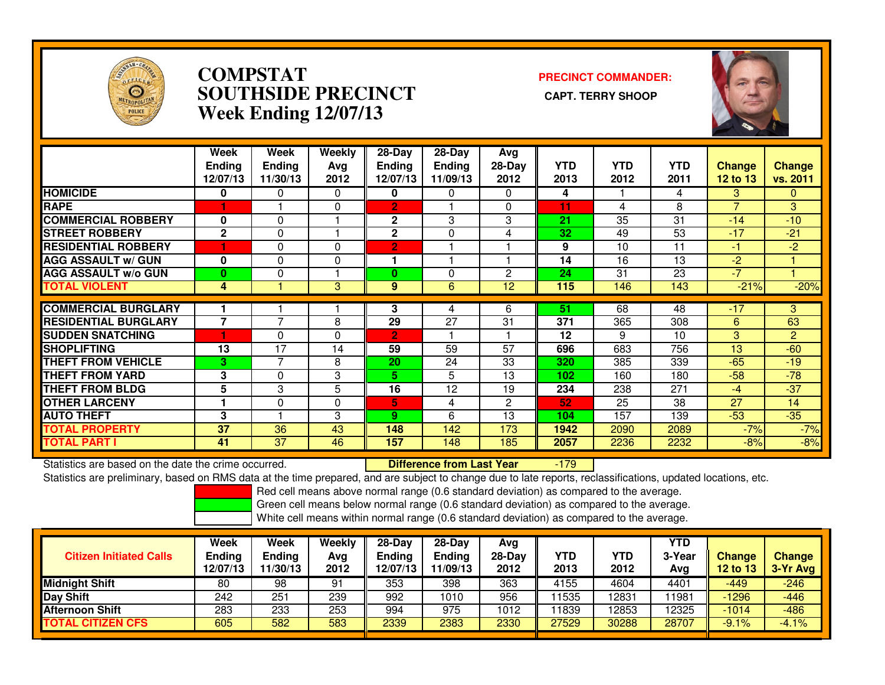

### **COMPSTAT PRECINCT COMMANDER: SOUTHSIDE PRECINCT CAPT. TERRY SHOOPWeek Ending 12/07/13**



|                             | Week<br><b>Ending</b><br>12/07/13 | Week<br><b>Endina</b><br>11/30/13 | Weekly<br>Ava<br>2012 | $28-Day$<br>Endina<br>12/07/13 | $28$ -Day<br><b>Endina</b><br>11/09/13 | Avg<br>$28-Day$<br>2012 | <b>YTD</b><br>2013 | <b>YTD</b><br>2012 | <b>YTD</b><br>2011 | Change<br>12 to 13 | <b>Change</b><br>vs. 2011 |
|-----------------------------|-----------------------------------|-----------------------------------|-----------------------|--------------------------------|----------------------------------------|-------------------------|--------------------|--------------------|--------------------|--------------------|---------------------------|
| <b>HOMICIDE</b>             | 0                                 | 0                                 | 0                     | 0                              | 0                                      | $\Omega$                | 4                  |                    | 4                  | 3                  | $\Omega$                  |
| <b>RAPE</b>                 |                                   |                                   | 0                     | $\overline{2}$                 |                                        | 0                       | 11                 | 4                  | 8                  | $\overline{7}$     | 3                         |
| <b>COMMERCIAL ROBBERY</b>   | 0                                 | $\Omega$                          |                       | $\mathbf{2}$                   | 3                                      | 3                       | 21                 | 35                 | 31                 | $-14$              | $-10$                     |
| <b>STREET ROBBERY</b>       | $\mathbf{2}$                      | $\Omega$                          |                       | $\mathbf{2}$                   | $\Omega$                               | 4                       | 32                 | 49                 | 53                 | $-17$              | $-21$                     |
| <b>RESIDENTIAL ROBBERY</b>  |                                   | $\Omega$                          | $\Omega$              | $\overline{2}$                 |                                        |                         | 9                  | 10                 | 11                 | -1                 | $-2$                      |
| <b>AGG ASSAULT w/ GUN</b>   | 0                                 | $\Omega$                          | 0                     |                                |                                        |                         | 14                 | 16                 | 13                 | $-2$               |                           |
| <b>AGG ASSAULT w/o GUN</b>  | $\bf{0}$                          | 0                                 |                       | 0                              | 0                                      | 2                       | 24                 | 31                 | 23                 | $-7$               |                           |
| <b>TOTAL VIOLENT</b>        | 4                                 |                                   | 3                     | 9                              | 6                                      | 12                      | 115                | 146                | 143                | $-21%$             | $-20%$                    |
|                             |                                   |                                   |                       |                                |                                        |                         |                    |                    |                    |                    |                           |
| <b>COMMERCIAL BURGLARY</b>  |                                   | ⇁                                 |                       | 3                              | 4                                      | 6                       | 51                 | 68                 | 48                 | $-17$              | 3                         |
| <b>RESIDENTIAL BURGLARY</b> | $\overline{7}$                    |                                   | 8                     | 29                             | 27                                     | 31                      | 371                | 365                | 308                | 6                  | 63                        |
| <b>SUDDEN SNATCHING</b>     |                                   | $\Omega$                          | 0                     | $\overline{2}$                 |                                        |                         | 12                 | 9                  | 10                 | 3                  | 2                         |
| <b>SHOPLIFTING</b>          | 13                                | 17                                | 14                    | 59                             | 59                                     | 57                      | 696                | 683                | 756                | 13                 | $-60$                     |
| <b>THEFT FROM VEHICLE</b>   | 3                                 | 7                                 | 8                     | 20                             | 24                                     | 33                      | 320                | 385                | 339                | $-65$              | $-19$                     |
| <b>THEFT FROM YARD</b>      | 3                                 | $\Omega$                          | 3                     | 5                              | 5                                      | 13                      | 102                | 160                | 180                | $-58$              | $-78$                     |
| <b>THEFT FROM BLDG</b>      | 5                                 | 3                                 | 5                     | 16                             | 12                                     | 19                      | 234                | 238                | 271                | $-4$               | $-37$                     |
| <b>OTHER LARCENY</b>        |                                   | $\Omega$                          | 0                     | 5                              | 4                                      | $\overline{2}$          | 52                 | 25                 | 38                 | 27                 | 14                        |
| <b>AUTO THEFT</b>           | 3                                 |                                   | 3                     | 9                              | 6                                      | 13                      | 104                | 157                | 139                | $-53$              | $-35$                     |
| <b>TOTAL PROPERTY</b>       | 37                                | 36                                | 43                    | 148                            | 142                                    | 173                     | 1942               | 2090               | 2089               | $-7%$              | $-7%$                     |
| <b>TOTAL PART I</b>         | 41                                | 37                                | 46                    | 157                            | 148                                    | 185                     | 2057               | 2236               | 2232               | $-8%$              | $-8%$                     |

Statistics are based on the date the crime occurred. **Difference from Last Year**  -179Statistics are preliminary, based on RMS data at the time prepared, and are subject to change due to late reports, reclassifications, updated locations, etc.

Red cell means above normal range (0.6 standard deviation) as compared to the average.

Green cell means below normal range (0.6 standard deviation) as compared to the average.

| <b>Citizen Initiated Calls</b> | Week<br><b>Ending</b><br>12/07/13 | Week<br>Ending<br>11/30/13 | Weeklv<br>Avg<br>2012 | 28-Dav<br>Ending<br>2/07/13 | $28-Dav$<br><b>Ending</b><br>11/09/13 | Avg<br>$28 - Day$<br>2012 | YTD<br>2013 | YTD<br>2012 | <b>YTD</b><br>3-Year<br>Avg | <b>Change</b><br><b>12 to 13</b> | <b>Change</b><br>3-Yr Avg |
|--------------------------------|-----------------------------------|----------------------------|-----------------------|-----------------------------|---------------------------------------|---------------------------|-------------|-------------|-----------------------------|----------------------------------|---------------------------|
| <b>Midnight Shift</b>          | 80                                | 98                         | 91                    | 353                         | 398                                   | 363                       | 4155        | 4604        | 4401                        | $-449$                           | $-246$                    |
| Day Shift                      | 242                               | 251                        | 239                   | 992                         | 1010                                  | 956                       | 1535        | 12831       | 11981                       | $-1296$                          | $-446$                    |
| <b>Afternoon Shift</b>         | 283                               | 233                        | 253                   | 994                         | 975                                   | 1012                      | 1839        | 12853       | 12325                       | $-1014$                          | $-486$                    |
| <b>TOTAL CITIZEN CFS</b>       | 605                               | 582                        | 583                   | 2339                        | 2383                                  | 2330                      | 27529       | 30288       | 28707                       | $-9.1%$                          | $-4.1%$                   |